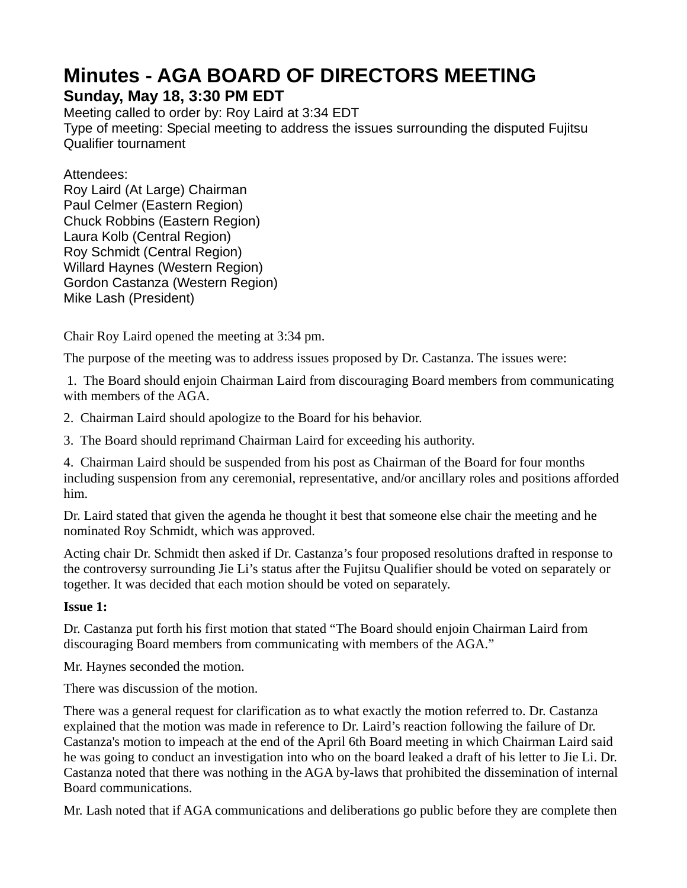# **Minutes - AGA BOARD OF DIRECTORS MEETING**

# **Sunday, May 18, 3:30 PM EDT**

Meeting called to order by: Roy Laird at 3:34 EDT Type of meeting: Special meeting to address the issues surrounding the disputed Fujitsu Qualifier tournament

## Attendees:

Roy Laird (At Large) Chairman Paul Celmer (Eastern Region) Chuck Robbins (Eastern Region) Laura Kolb (Central Region) Roy Schmidt (Central Region) Willard Haynes (Western Region) Gordon Castanza (Western Region) Mike Lash (President)

Chair Roy Laird opened the meeting at 3:34 pm.

The purpose of the meeting was to address issues proposed by Dr. Castanza. The issues were:

 1. The Board should enjoin Chairman Laird from discouraging Board members from communicating with members of the AGA.

2. Chairman Laird should apologize to the Board for his behavior.

3. The Board should reprimand Chairman Laird for exceeding his authority.

4. Chairman Laird should be suspended from his post as Chairman of the Board for four months including suspension from any ceremonial, representative, and/or ancillary roles and positions afforded him.

Dr. Laird stated that given the agenda he thought it best that someone else chair the meeting and he nominated Roy Schmidt, which was approved.

Acting chair Dr. Schmidt then asked if Dr. Castanza's four proposed resolutions drafted in response to the controversy surrounding Jie Li's status after the Fujitsu Qualifier should be voted on separately or together. It was decided that each motion should be voted on separately.

# **Issue 1:**

Dr. Castanza put forth his first motion that stated "The Board should enjoin Chairman Laird from discouraging Board members from communicating with members of the AGA."

Mr. Haynes seconded the motion.

There was discussion of the motion.

There was a general request for clarification as to what exactly the motion referred to. Dr. Castanza explained that the motion was made in reference to Dr. Laird's reaction following the failure of Dr. Castanza's motion to impeach at the end of the April 6th Board meeting in which Chairman Laird said he was going to conduct an investigation into who on the board leaked a draft of his letter to Jie Li. Dr. Castanza noted that there was nothing in the AGA by-laws that prohibited the dissemination of internal Board communications.

Mr. Lash noted that if AGA communications and deliberations go public before they are complete then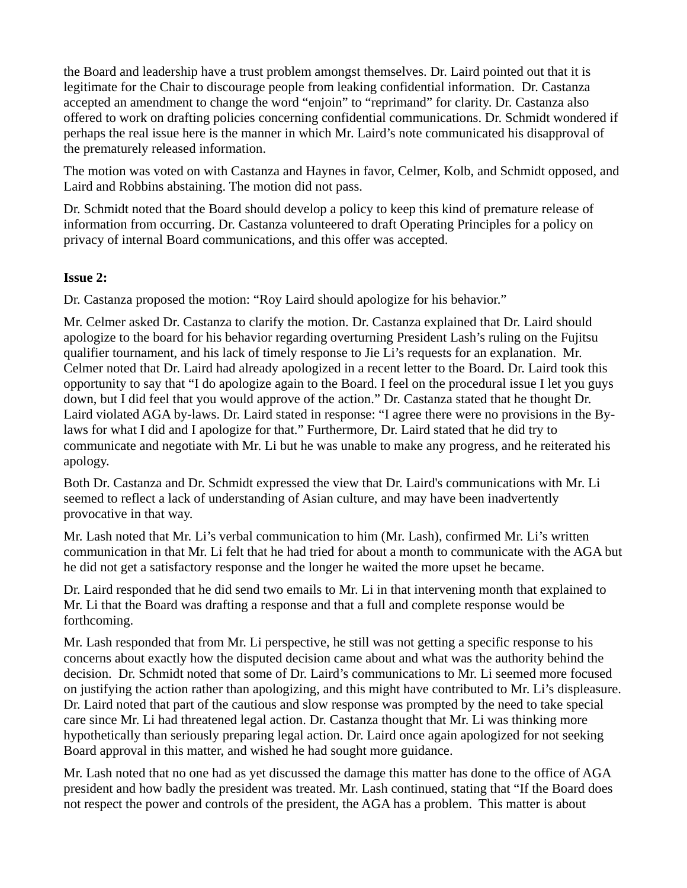the Board and leadership have a trust problem amongst themselves. Dr. Laird pointed out that it is legitimate for the Chair to discourage people from leaking confidential information. Dr. Castanza accepted an amendment to change the word "enjoin" to "reprimand" for clarity. Dr. Castanza also offered to work on drafting policies concerning confidential communications. Dr. Schmidt wondered if perhaps the real issue here is the manner in which Mr. Laird's note communicated his disapproval of the prematurely released information.

The motion was voted on with Castanza and Haynes in favor, Celmer, Kolb, and Schmidt opposed, and Laird and Robbins abstaining. The motion did not pass.

Dr. Schmidt noted that the Board should develop a policy to keep this kind of premature release of information from occurring. Dr. Castanza volunteered to draft Operating Principles for a policy on privacy of internal Board communications, and this offer was accepted.

#### **Issue 2:**

Dr. Castanza proposed the motion: "Roy Laird should apologize for his behavior."

Mr. Celmer asked Dr. Castanza to clarify the motion. Dr. Castanza explained that Dr. Laird should apologize to the board for his behavior regarding overturning President Lash's ruling on the Fujitsu qualifier tournament, and his lack of timely response to Jie Li's requests for an explanation. Mr. Celmer noted that Dr. Laird had already apologized in a recent letter to the Board. Dr. Laird took this opportunity to say that "I do apologize again to the Board. I feel on the procedural issue I let you guys down, but I did feel that you would approve of the action." Dr. Castanza stated that he thought Dr. Laird violated AGA by-laws. Dr. Laird stated in response: "I agree there were no provisions in the Bylaws for what I did and I apologize for that." Furthermore, Dr. Laird stated that he did try to communicate and negotiate with Mr. Li but he was unable to make any progress, and he reiterated his apology.

Both Dr. Castanza and Dr. Schmidt expressed the view that Dr. Laird's communications with Mr. Li seemed to reflect a lack of understanding of Asian culture, and may have been inadvertently provocative in that way.

Mr. Lash noted that Mr. Li's verbal communication to him (Mr. Lash), confirmed Mr. Li's written communication in that Mr. Li felt that he had tried for about a month to communicate with the AGA but he did not get a satisfactory response and the longer he waited the more upset he became.

Dr. Laird responded that he did send two emails to Mr. Li in that intervening month that explained to Mr. Li that the Board was drafting a response and that a full and complete response would be forthcoming.

Mr. Lash responded that from Mr. Li perspective, he still was not getting a specific response to his concerns about exactly how the disputed decision came about and what was the authority behind the decision. Dr. Schmidt noted that some of Dr. Laird's communications to Mr. Li seemed more focused on justifying the action rather than apologizing, and this might have contributed to Mr. Li's displeasure. Dr. Laird noted that part of the cautious and slow response was prompted by the need to take special care since Mr. Li had threatened legal action. Dr. Castanza thought that Mr. Li was thinking more hypothetically than seriously preparing legal action. Dr. Laird once again apologized for not seeking Board approval in this matter, and wished he had sought more guidance.

Mr. Lash noted that no one had as yet discussed the damage this matter has done to the office of AGA president and how badly the president was treated. Mr. Lash continued, stating that "If the Board does not respect the power and controls of the president, the AGA has a problem. This matter is about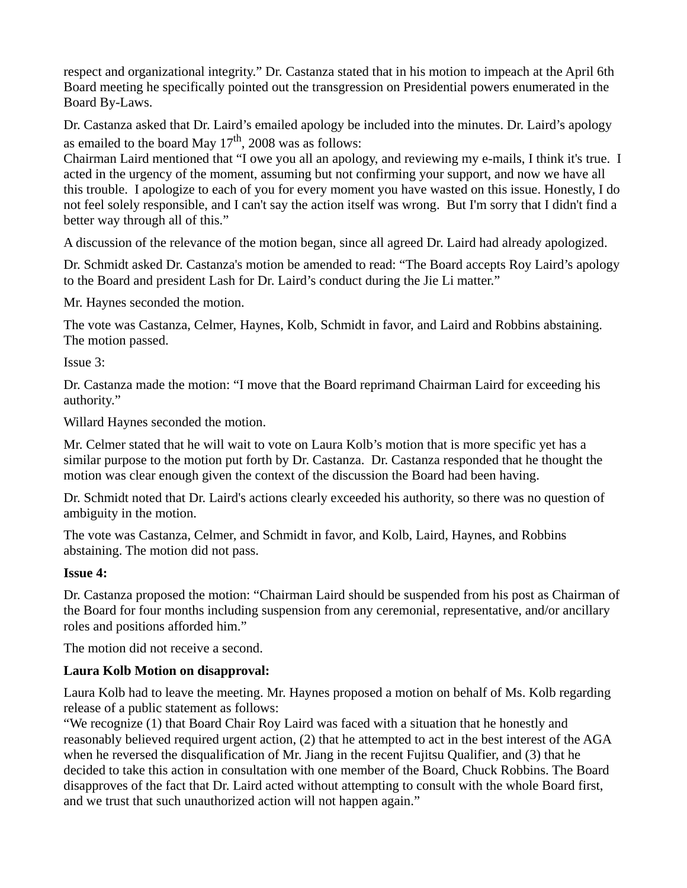respect and organizational integrity." Dr. Castanza stated that in his motion to impeach at the April 6th Board meeting he specifically pointed out the transgression on Presidential powers enumerated in the Board By-Laws.

Dr. Castanza asked that Dr. Laird's emailed apology be included into the minutes. Dr. Laird's apology as emailed to the board May  $17<sup>th</sup>$ , 2008 was as follows:

Chairman Laird mentioned that "I owe you all an apology, and reviewing my e-mails, I think it's true. I acted in the urgency of the moment, assuming but not confirming your support, and now we have all this trouble. I apologize to each of you for every moment you have wasted on this issue. Honestly, I do not feel solely responsible, and I can't say the action itself was wrong. But I'm sorry that I didn't find a better way through all of this."

A discussion of the relevance of the motion began, since all agreed Dr. Laird had already apologized.

Dr. Schmidt asked Dr. Castanza's motion be amended to read: "The Board accepts Roy Laird's apology to the Board and president Lash for Dr. Laird's conduct during the Jie Li matter."

Mr. Haynes seconded the motion.

The vote was Castanza, Celmer, Haynes, Kolb, Schmidt in favor, and Laird and Robbins abstaining. The motion passed.

Issue 3:

Dr. Castanza made the motion: "I move that the Board reprimand Chairman Laird for exceeding his authority."

Willard Haynes seconded the motion.

Mr. Celmer stated that he will wait to vote on Laura Kolb's motion that is more specific yet has a similar purpose to the motion put forth by Dr. Castanza. Dr. Castanza responded that he thought the motion was clear enough given the context of the discussion the Board had been having.

Dr. Schmidt noted that Dr. Laird's actions clearly exceeded his authority, so there was no question of ambiguity in the motion.

The vote was Castanza, Celmer, and Schmidt in favor, and Kolb, Laird, Haynes, and Robbins abstaining. The motion did not pass.

#### **Issue 4:**

Dr. Castanza proposed the motion: "Chairman Laird should be suspended from his post as Chairman of the Board for four months including suspension from any ceremonial, representative, and/or ancillary roles and positions afforded him."

The motion did not receive a second.

#### **Laura Kolb Motion on disapproval:**

Laura Kolb had to leave the meeting. Mr. Haynes proposed a motion on behalf of Ms. Kolb regarding release of a public statement as follows:

"We recognize (1) that Board Chair Roy Laird was faced with a situation that he honestly and reasonably believed required urgent action, (2) that he attempted to act in the best interest of the AGA when he reversed the disqualification of Mr. Jiang in the recent Fujitsu Qualifier, and (3) that he decided to take this action in consultation with one member of the Board, Chuck Robbins. The Board disapproves of the fact that Dr. Laird acted without attempting to consult with the whole Board first, and we trust that such unauthorized action will not happen again."